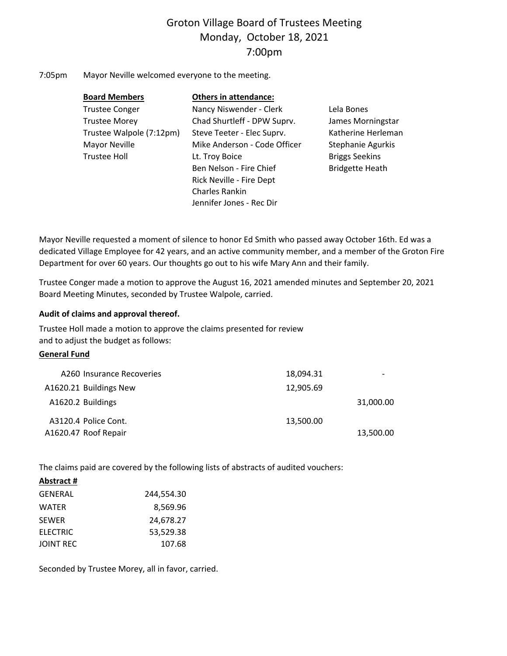# Groton Village Board of Trustees Meeting Monday, October 18, 2021 7:00pm

7:05pm Mayor Neville welcomed everyone to the meeting.

| <b>Board Members</b>     | <b>Others in attendance:</b> |                        |
|--------------------------|------------------------------|------------------------|
| <b>Trustee Conger</b>    | Nancy Niswender - Clerk      | Lela Bones             |
| <b>Trustee Morey</b>     | Chad Shurtleff - DPW Suprv.  | James Morningstar      |
| Trustee Walpole (7:12pm) | Steve Teeter - Elec Suprv.   | Katherine Herleman     |
| Mayor Neville            | Mike Anderson - Code Officer | Stephanie Agurkis      |
| <b>Trustee Holl</b>      | Lt. Troy Boice               | <b>Briggs Seekins</b>  |
|                          | Ben Nelson - Fire Chief      | <b>Bridgette Heath</b> |
|                          | Rick Neville - Fire Dept     |                        |
|                          | <b>Charles Rankin</b>        |                        |
|                          | Jennifer Jones - Rec Dir     |                        |

Mayor Neville requested a moment of silence to honor Ed Smith who passed away October 16th. Ed was a dedicated Village Employee for 42 years, and an active community member, and a member of the Groton Fire Department for over 60 years. Our thoughts go out to his wife Mary Ann and their family.

Trustee Conger made a motion to approve the August 16, 2021 amended minutes and September 20, 2021 Board Meeting Minutes, seconded by Trustee Walpole, carried.

## **Audit of claims and approval thereof.**

| Mayor Neville requested a moment of silence to honor Ed Smith who passed away October 16th<br>dedicated Village Employee for 42 years, and an active community member, and a member of th<br>Department for over 60 years. Our thoughts go out to his wife Mary Ann and their family. |           |           |
|---------------------------------------------------------------------------------------------------------------------------------------------------------------------------------------------------------------------------------------------------------------------------------------|-----------|-----------|
| Trustee Conger made a motion to approve the August 16, 2021 amended minutes and Septembe<br>Board Meeting Minutes, seconded by Trustee Walpole, carried.                                                                                                                              |           |           |
| Audit of claims and approval thereof.                                                                                                                                                                                                                                                 |           |           |
| Trustee Holl made a motion to approve the claims presented for review                                                                                                                                                                                                                 |           |           |
| and to adjust the budget as follows:                                                                                                                                                                                                                                                  |           |           |
| <b>General Fund</b>                                                                                                                                                                                                                                                                   |           |           |
| A260 Insurance Recoveries                                                                                                                                                                                                                                                             | 18,094.31 |           |
| A1620.21 Buildings New                                                                                                                                                                                                                                                                | 12,905.69 |           |
| A1620.2 Buildings                                                                                                                                                                                                                                                                     |           | 31,000.00 |
| A3120.4 Police Cont.                                                                                                                                                                                                                                                                  | 13,500.00 |           |
| A1620.47 Roof Repair                                                                                                                                                                                                                                                                  |           | 13,500.00 |
|                                                                                                                                                                                                                                                                                       |           |           |

The claims paid are covered by the following lists of abstracts of audited vouchers:

**Abstract #**

| GENERAL   | 244,554.30 |
|-----------|------------|
| WATER     | 8,569.96   |
| SEWER     | 24,678.27  |
| ELECTRIC  | 53.529.38  |
| JOINT REC | 107.68     |

Seconded by Trustee Morey, all in favor, carried.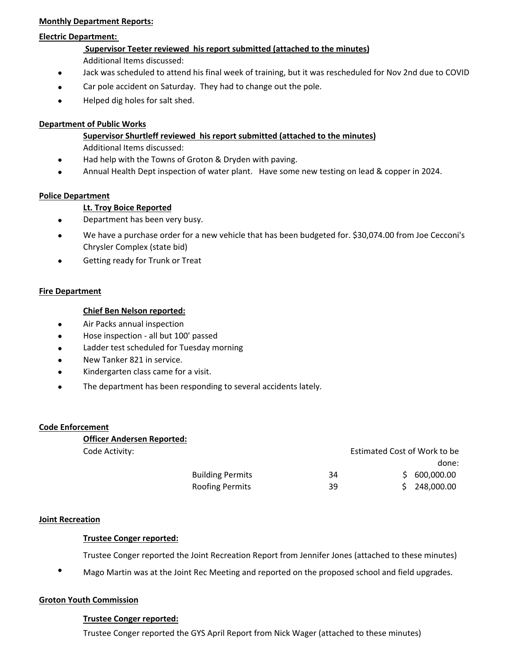## **Monthly Department Reports:**

## **Electric Department:**

# **Supervisor Teeter reviewed his report submitted (attached to the minutes)** Additional Items discussed:

- $\bullet$ Jack was scheduled to attend his final week of training, but it was rescheduled for Nov 2nd due to COVID
- $\bullet$ Car pole accident on Saturday. They had to change out the pole.
- $\bullet$ Helped dig holes for salt shed.

## **Department of Public Works**

# **Supervisor Shurtleff reviewed his report submitted (attached to the minutes)**

Additional Items discussed:

- $\bullet$ Had help with the Towns of Groton & Dryden with paving.
- $\bullet$ Annual Health Dept inspection of water plant. Have some new testing on lead & copper in 2024.

## **Police Department**

## **Lt. Troy Boice Reported**

- $\bullet$ Department has been very busy.
- been very busy.<br>
ase order for a new vehicle that has been budgeted for. \$30<br>
(state bid)<br>
Trunk or Treat<br>
Inspection<br>
all but 100' passed<br>
duled for Tuesday morning<br>
in service.<br>
is came for a visit.<br>
has been responding  $\bullet$ We have a purchase order for a new vehicle that has been budgeted for. \$30,074.00 from Joe Cecconi's Chrysler Complex (state bid)
- $\bullet$ Getting ready for Trunk or Treat

## **Fire Department**

## **Chief Ben Nelson reported:**

- $\bullet$ Air Packs annual inspection
- $\bullet$ Hose inspection - all but 100' passed
- $\bullet$ Ladder test scheduled for Tuesday morning
- $\bullet$ New Tanker 821 in service.
- $\bullet$ Kindergarten class came for a visit.
- $\bullet$ The department has been responding to several accidents lately.

## **Code Enforcement**

## **Officer Andersen Reported:**

| Code Activity: |                         |    | Estimated Cost of Work to be |              |  |
|----------------|-------------------------|----|------------------------------|--------------|--|
|                |                         |    |                              | done:        |  |
|                | <b>Building Permits</b> | 34 |                              | \$600,000.00 |  |
|                | <b>Roofing Permits</b>  | 39 |                              | \$248,000.00 |  |

#### **Joint Recreation**

## **Trustee Conger reported:**

Trustee Conger reported the Joint Recreation Report from Jennifer Jones (attached to these minutes)

Mago Martin was at the Joint Rec Meeting and reported on the proposed school and field upgrades.

## **Groton Youth Commission**

#### **Trustee Conger reported:**

Trustee Conger reported the GYS April Report from Nick Wager (attached to these minutes)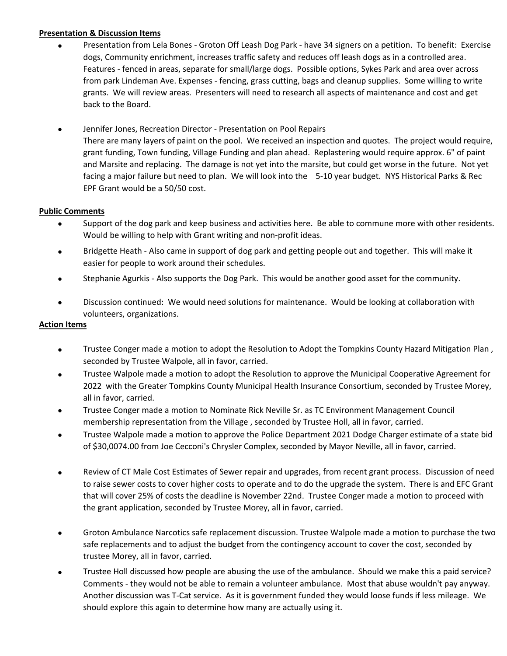## **Presentation & Discussion Items**

- $\bullet$ Presentation from Lela Bones ‐ Groton Off Leash Dog Park ‐ have 34 signers on a petition. To benefit: Exercise dogs, Community enrichment, increases traffic safety and reduces off leash dogs as in a controlled area. Features ‐ fenced in areas, separate for small/large dogs. Possible options, Sykes Park and area over across from park Lindeman Ave. Expenses ‐ fencing, grass cutting, bags and cleanup supplies. Some willing to write grants. We will review areas. Presenters will need to research all aspects of maintenance and cost and get back to the Board.
- $\bullet$ Jennifer Jones, Recreation Director ‐ Presentation on Pool Repairs There are many layers of paint on the pool. We received an inspection and quotes. The project would require, grant funding, Town funding, Village Funding and plan ahead. Replastering would require approx. 6" of paint and Marsite and replacing. The damage is not yet into the marsite, but could get worse in the future. Not yet facing a major failure but need to plan. We will look into the 5-10 year budget. NYS Historical Parks & Rec EPF Grant would be a 50/50 cost.

## **Public Comments**

- $\bullet$ Support of the dog park and keep business and activities here. Be able to commune more with other residents. Would be willing to help with Grant writing and non-profit ideas.
- $\bullet$ Bridgette Heath ‐ Also came in support of dog park and getting people out and together. This will make it easier for people to work around their schedules.
- $\bullet$ Stephanie Agurkis ‐ Also supports the Dog Park. This would be another good asset for the community.
- $\bullet$ Discussion continued: We would need solutions for maintenance. Would be looking at collaboration with volunteers, organizations.

## **Action Items**

- $\bullet$ Trustee Conger made a motion to adopt the Resolution to Adopt the Tompkins County Hazard Mitigation Plan , seconded by Trustee Walpole, all in favor, carried.
- by park and keep business and activities here. Be able to cc<br>to help with Grant writing and non-profit ideas.<br>Also came in support of dog park and getting people out a<br>to work around their schedules.<br>S Also supports the  $\bullet$ Trustee Walpole made a motion to adopt the Resolution to approve the Municipal Cooperative Agreement for 2022 with the Greater Tompkins County Municipal Health Insurance Consortium, seconded by Trustee Morey, all in favor, carried.
- $\bullet$ Trustee Conger made a motion to Nominate Rick Neville Sr. as TC Environment Management Council membership representation from the Village , seconded by Trustee Holl, all in favor, carried.
- $\bullet$ Trustee Walpole made a motion to approve the Police Department 2021 Dodge Charger estimate of a state bid of \$30,0074.00 from Joe Cecconi's Chrysler Complex, seconded by Mayor Neville, all in favor, carried.
- $\bullet$ Review of CT Male Cost Estimates of Sewer repair and upgrades, from recent grant process. Discussion of need to raise sewer costs to cover higher costs to operate and to do the upgrade the system. There is and EFC Grant that will cover 25% of costs the deadline is November 22nd. Trustee Conger made a motion to proceed with the grant application, seconded by Trustee Morey, all in favor, carried.
- $\bullet$ Groton Ambulance Narcotics safe replacement discussion. Trustee Walpole made a motion to purchase the two safe replacements and to adjust the budget from the contingency account to cover the cost, seconded by trustee Morey, all in favor, carried.
- $\bullet$ Trustee Holl discussed how people are abusing the use of the ambulance. Should we make this a paid service? Comments ‐ they would not be able to remain a volunteer ambulance. Most that abuse wouldn't pay anyway. Another discussion was T‐Cat service. As it is government funded they would loose funds if less mileage. We should explore this again to determine how many are actually using it.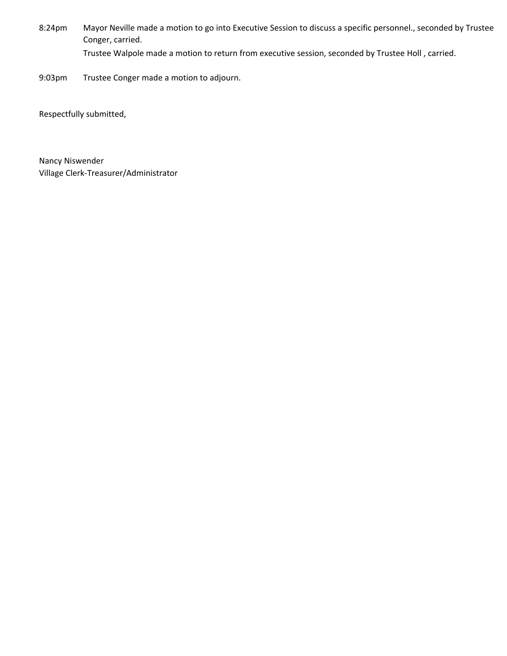- 8:24pm Mayor Neville made a motion to go into Executive Session to discuss a specific personnel., seconded by Trustee Conger, carried. Trustee Walpole made a motion to return from executive session, seconded by Trustee Holl , carried.
- 9:03pm Trustee Conger made a motion to adjourn.

Respectfully submitted,

Village Clerk‐Treasurer/Administrator Nancy Niswender